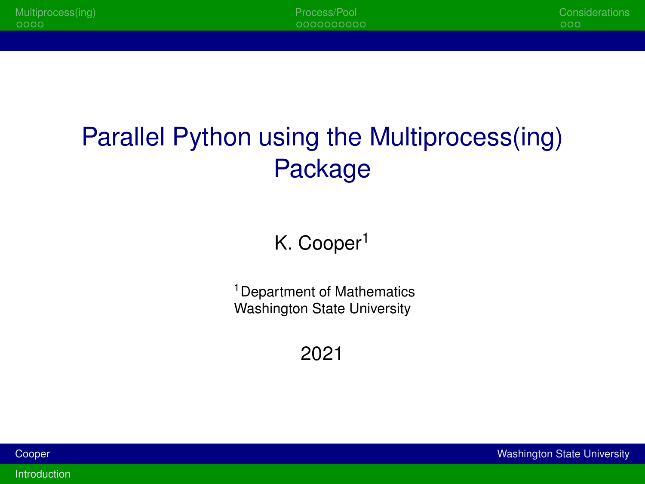## <span id="page-0-1"></span><span id="page-0-0"></span>Parallel Python using the Multiprocess(ing) Package

K. Cooper<sup>1</sup>

<sup>1</sup> Department of Mathematics Washington State University

2021

| Cooper |  |  |  |
|--------|--|--|--|
|        |  |  |  |

**Washington State University** 

Introduction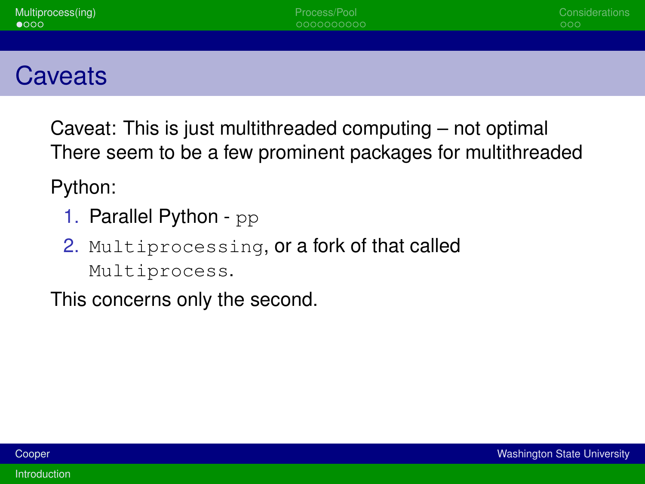<span id="page-1-0"></span>Caveat: This is just multithreaded computing – not optimal There seem to be a few prominent packages for multithreaded

Python:

- 1. Parallel Python pp
- 2. Multiprocessing, or a fork of that called Multiprocess.

This concerns only the second.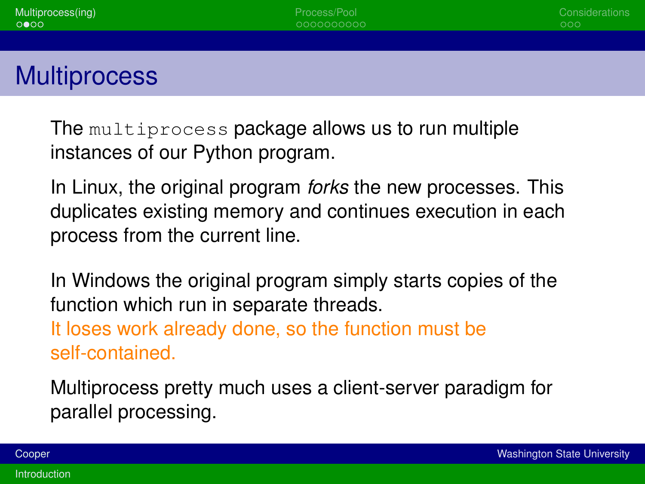**Multiprocess** 

The multiprocess package allows us to run multiple instances of our Python program.

In Linux, the original program *forks* the new processes. This duplicates existing memory and continues execution in each process from the current line.

In Windows the original program simply starts copies of the function which run in separate threads. It loses work already done, so the function must be

self-contained.

Multiprocess pretty much uses a client-server paradigm for parallel processing.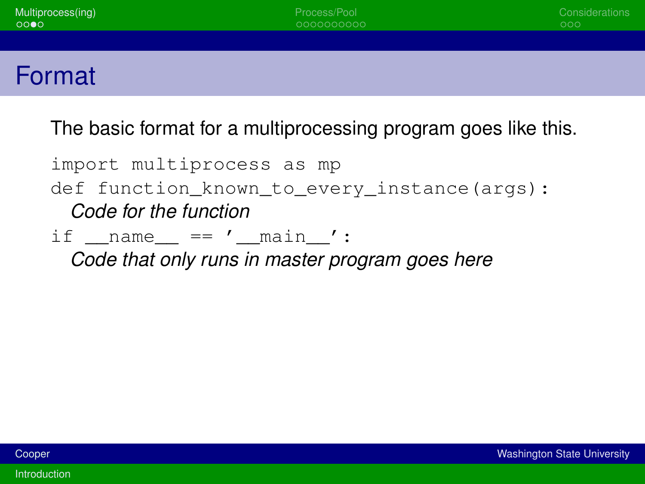| Multiprocess(ing)<br>0000 | Process/Pool<br>0000000000 | Considerations<br>000 |
|---------------------------|----------------------------|-----------------------|
|                           |                            |                       |
| Format                    |                            |                       |

The basic format for a multiprocessing program goes like this.

import multiprocess as mp def function\_known\_to\_every\_instance(args): *Code for the function* if  $name = 'main '$ :

*Code that only runs in master program goes here*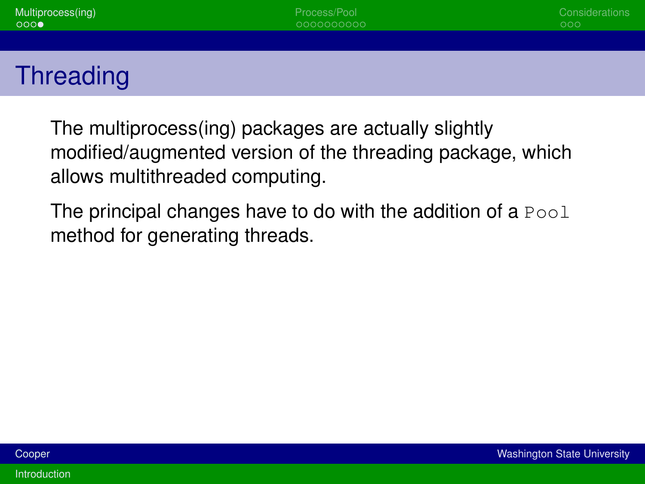The multiprocess(ing) packages are actually slightly modified/augmented version of the threading package, which allows multithreaded computing.

The principal changes have to do with the addition of a  $Pool$ method for generating threads.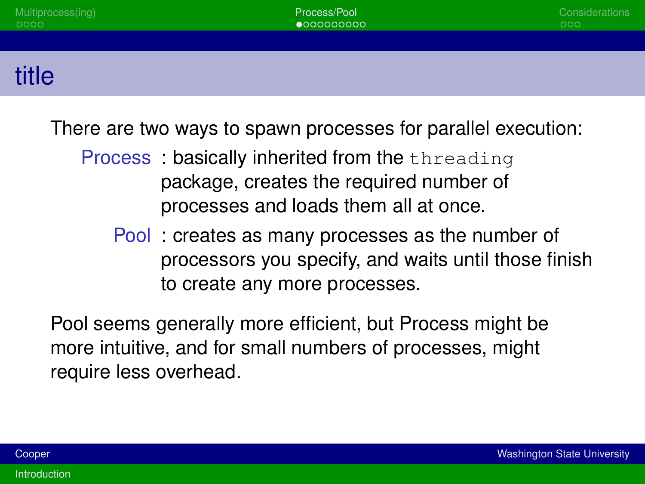| Multiprocess(ing)<br>0000 | Process/Pool<br>$\bullet$ 000000000 | Considerations<br>000 |
|---------------------------|-------------------------------------|-----------------------|
|                           |                                     |                       |
| title                     |                                     |                       |

There are two ways to spawn processes for parallel execution:

- Process: basically inherited from the threading package, creates the required number of processes and loads them all at once.
	- Pool : creates as many processes as the number of processors you specify, and waits until those finish to create any more processes.

Pool seems generally more efficient, but Process might be more intuitive, and for small numbers of processes, might require less overhead.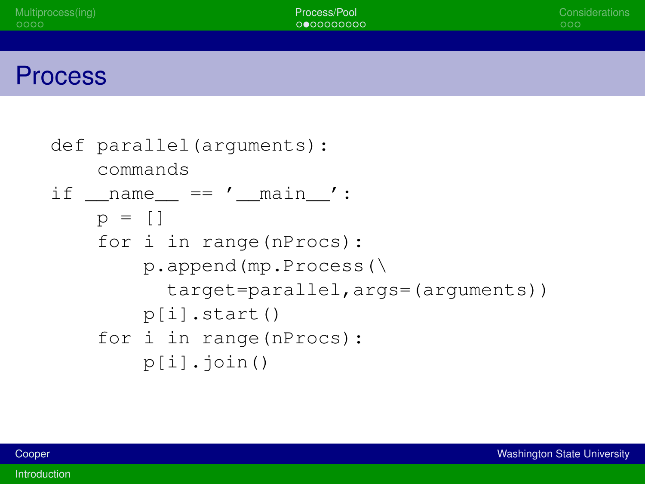| Process/Pool<br>0000000000 | Considerations<br>000 |
|----------------------------|-----------------------|
|                            |                       |
|                            |                       |
|                            |                       |

```
def parallel(arguments):
    commands
if name = ' main ':
    p = \lceil \rceilfor i in range(nProcs):
        p.append(mp.Process(\
          target=parallel,args=(arguments))
        p[i].start()
    for i in range(nProcs):
        p[i].join()
```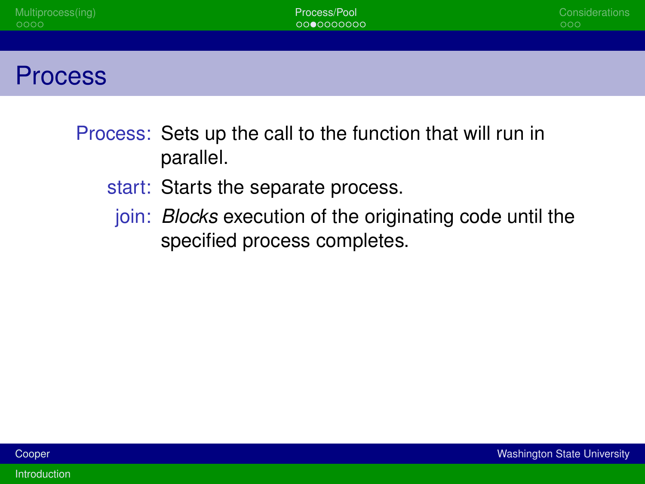| Multiprocess(ing)<br>0000 | Process/Pool<br>0000000000 | Considerations<br>000 |
|---------------------------|----------------------------|-----------------------|
|                           |                            |                       |
| <b>Process</b>            |                            |                       |

- Process: Sets up the call to the function that will run in parallel.
	- start: Starts the separate process.
	- join: *Blocks* execution of the originating code until the specified process completes.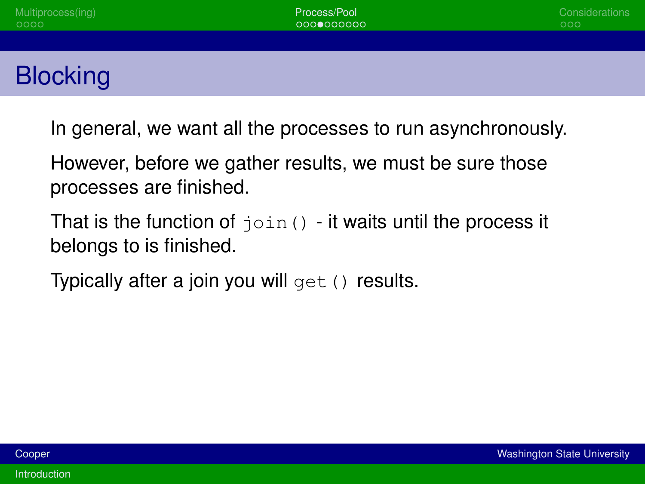In general, we want all the processes to run asynchronously.

However, before we gather results, we must be sure those processes are finished.

That is the function of  $\phi$  in () - it waits until the process it belongs to is finished.

Typically after a join you will  $qet()$  results.

**[Introduction](#page-0-1)**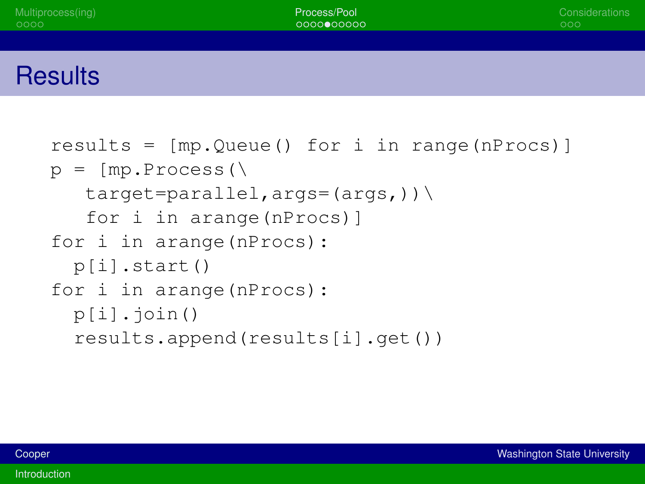## **Results**

```
results = [mp.Queue() for i in range(nProcs)]
p = [mp.Process()target=parallel, args=(args,))\for i in arange(nProcs)]
for i in arange(nProcs):
 p[i].start()
for i in arange(nProcs):
  p[i].join()
  results.append(results[i].get())
```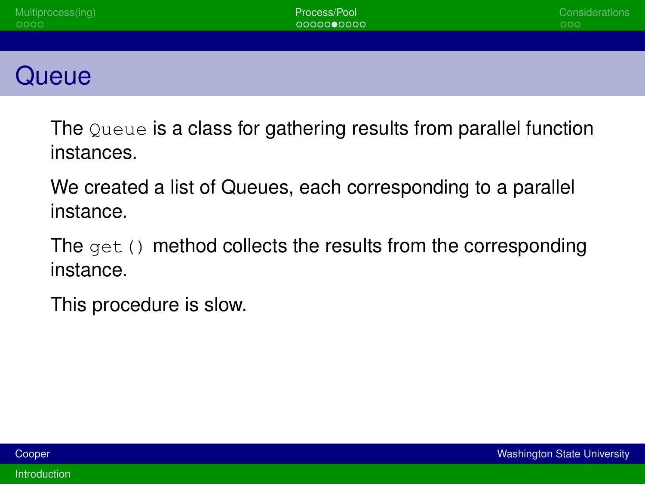| Multiprocess(ing)<br>0000 | Process/Pool<br>0000000000 | Considerations<br>000 |
|---------------------------|----------------------------|-----------------------|
|                           |                            |                       |
| Queue                     |                            |                       |

The Queue is a class for gathering results from parallel function instances.

We created a list of Queues, each corresponding to a parallel instance.

The  $qet()$  method collects the results from the corresponding instance.

This procedure is slow.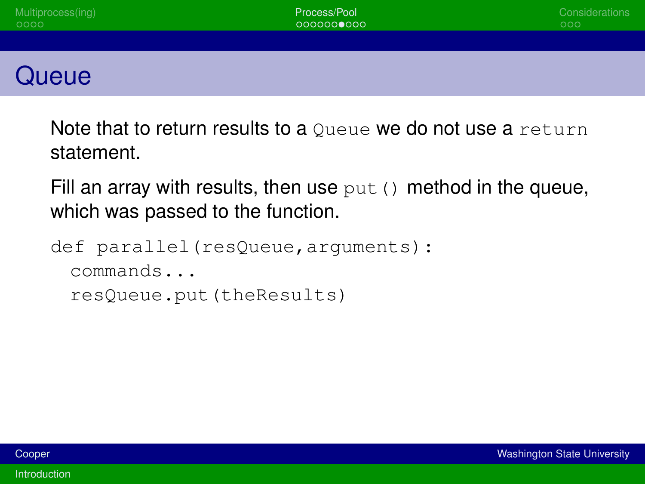| Multiprocess(ing)<br>0000 | Process/Pool<br>0000000000 | Considerations<br>000 |
|---------------------------|----------------------------|-----------------------|
|                           |                            |                       |
| Queue                     |                            |                       |

Note that to return results to a Oueue we do not use a return statement.

Fill an array with results, then use  $put()$  method in the queue, which was passed to the function.

```
def parallel(resQueue,arguments):
 commands...
 resQueue.put(theResults)
```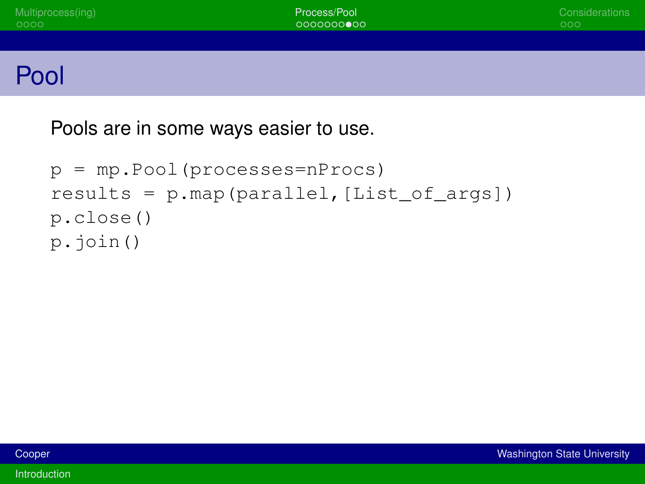Pools are in some ways easier to use.

```
p = mp.Pool(processes=nProcs)
results = p.map(parallel, [List of args])
p.close()
p.join()
```
[Introduction](#page-0-1)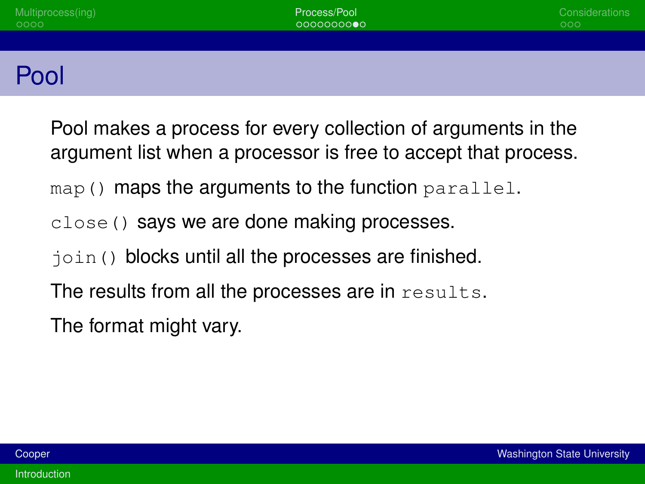<span id="page-13-0"></span>

| Multiprocess(ing)<br>0000 | Process/Pool<br>0000000000 | Considerations<br>000 |
|---------------------------|----------------------------|-----------------------|
|                           |                            |                       |
| Pool                      |                            |                       |

Pool makes a process for every collection of arguments in the argument list when a processor is free to accept that process. map() maps the arguments to the function parallel. close() says we are done making processes. join() blocks until all the processes are finished. The results from all the processes are in results.

The format might vary.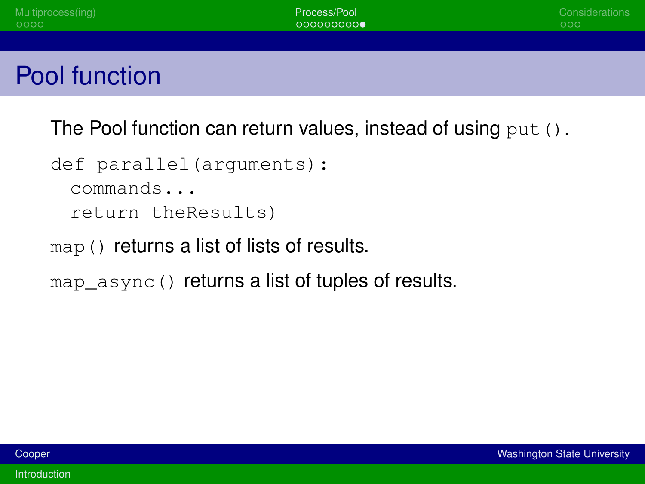| Multiprocess(ing)<br>0000                                   | Process/Pool<br>000000000 | Considerations<br>000 |
|-------------------------------------------------------------|---------------------------|-----------------------|
|                                                             |                           |                       |
| Pool function                                               |                           |                       |
| — .<br>$\sim$ $\sim$ $\sim$ $\sim$ $\sim$<br>$\blacksquare$ | .                         |                       |

The Pool function can return values, instead of using  $\text{put}$  ().

```
def parallel(arguments):
 commands...
 return theResults)
```
map() returns a list of lists of results.

map async() returns a list of tuples of results.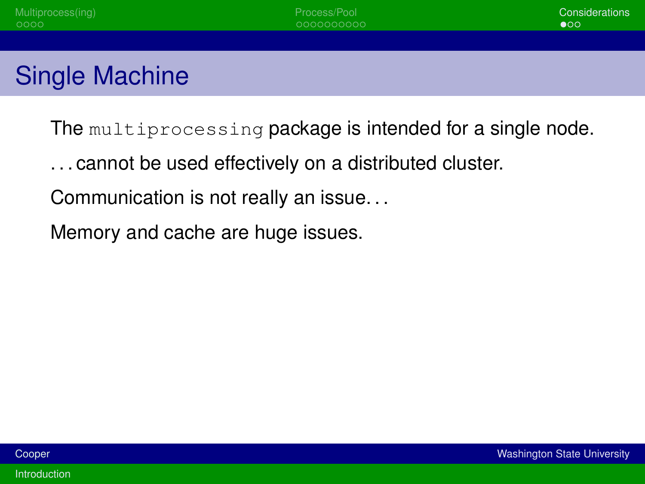

The multiprocessing package is intended for a single node.

- . . . cannot be used effectively on a distributed cluster.
- Communication is not really an issue. . .
- Memory and cache are huge issues.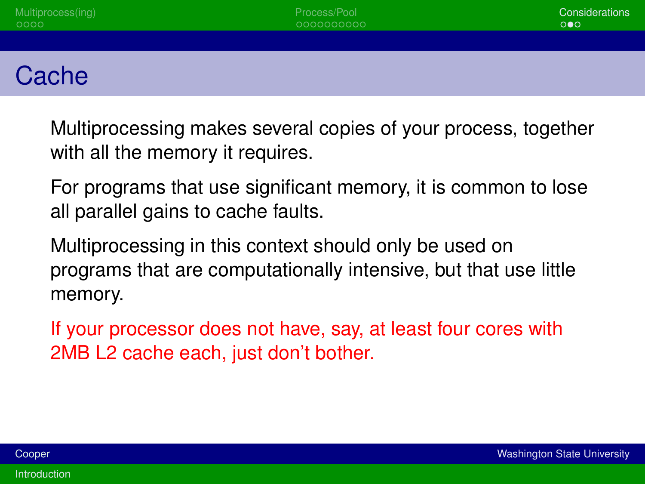| Multiprocess(ing)<br>0000 | Process/Pool<br>0000000000 | Considerations<br>$\circ \bullet \circ$ |
|---------------------------|----------------------------|-----------------------------------------|
|                           |                            |                                         |
| Cache                     |                            |                                         |

Multiprocessing makes several copies of your process, together with all the memory it requires.

For programs that use significant memory, it is common to lose all parallel gains to cache faults.

Multiprocessing in this context should only be used on programs that are computationally intensive, but that use little memory.

If your processor does not have, say, at least four cores with 2MB L2 cache each, just don't bother.